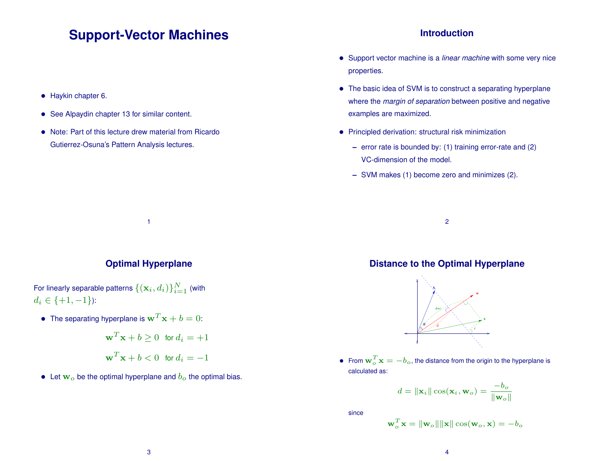# **Support-Vector Machines**

- Haykin chapter 6.
- See Alpaydin chapter 13 for similar content.
- Note: Part of this lecture drew material from Ricardo Gutierrez-Osuna's Pattern Analysis lectures.

### **Introduction**

- Support vector machine is a *linear machine* with some very nice properties.
- The basic idea of SVM is to construct a separating hyperplane where the *margin of separation* between positive and negative examples are maximized.
- Principled derivation: structural risk minimization
	- **–** error rate is bounded by: (1) training error-rate and (2) VC-dimension of the model.
	- **–** SVM makes (1) become zero and minimizes (2).

2

### **Optimal Hyperplane**

1

For linearly separable patterns  $\{(\mathbf{x}_i, d_i)\}_{i=1}^N$  (with  $d_i \in \{+1, -1\}$ :

 $\bullet~$  The separating hyperplane is  ${\bf w}^T{\bf x}+b=0$ :

$$
\mathbf{w}^T \mathbf{x} + b \ge 0 \quad \text{for } d_i = +1
$$
  

$$
\mathbf{w}^T \mathbf{x} + b < 0 \quad \text{for } d_i = -1
$$

• Let  $w<sub>o</sub>$  be the optimal hyperplane and  $b<sub>o</sub>$  the optimal bias.

## **Distance to the Optimal Hyperplane**



• From  $\mathbf{w}_o^T \mathbf{x} = -b_o$ , the distance from the origin to the hyperplane is calculated as:

$$
d = \|\mathbf{x}_i\| \cos(\mathbf{x}_i, \mathbf{w}_o) = \frac{-b_o}{\|\mathbf{w}_o\|}
$$

since

$$
\mathbf{w}_o^T \mathbf{x} = \|\mathbf{w}_o\| \|\mathbf{x}\| \cos(\mathbf{w}_o, \mathbf{x}) = -b_o
$$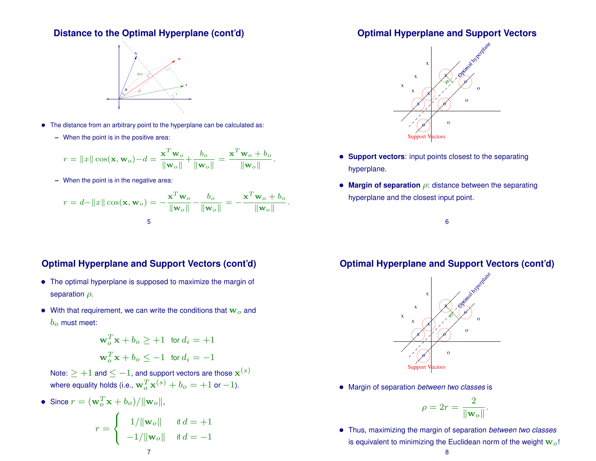## **Distance to the Optimal Hyperplane (cont'd)**



- The distance from an arbitrary point to the hyperplane can be calculated as:
	- **–** When the point is in the positive area:

$$
r = ||x|| \cos(\mathbf{x}, \mathbf{w}_o) - d = \frac{\mathbf{x}^T \mathbf{w}_o}{\|\mathbf{w}_o\|} + \frac{b_o}{\|\mathbf{w}_o\|} = \frac{\mathbf{x}^T \mathbf{w}_o + b_o}{\|\mathbf{w}_o\|}.
$$

**–** When the point is in the negative area:

$$
r = d - ||x|| \cos(\mathbf{x}, \mathbf{w}_o) = -\frac{\mathbf{x}^T \mathbf{w}_o}{||\mathbf{w}_o||} - \frac{b_o}{||\mathbf{w}_o||} = -\frac{\mathbf{x}^T \mathbf{w}_o + b_o}{||\mathbf{w}_o||}.
$$

## **Optimal Hyperplane and Support Vectors (cont'd)**

- The optimal hyperplane is supposed to maximize the margin of separation  $\rho$ .
- With that requirement, we can write the conditions that  $w<sub>o</sub>$  and  $b<sub>o</sub>$  must meet:

$$
\mathbf{w}_o^T \mathbf{x} + b_o \ge +1 \quad \text{for } d_i = +1
$$
  

$$
\mathbf{w}_o^T \mathbf{x} + b_o \le -1 \quad \text{for } d_i = -1
$$

- Note:  $\ge +1$  and  $\le -1$ , and support vectors are those  $\mathbf{x}^{(s)}$ where equality holds (i.e.,  $\mathbf{w}_o^T\mathbf{x}^{(s)}+b_o=+1$  or  $-1$ ).
- Since  $r = (\mathbf{w}_o^T \mathbf{x} + b_o) / ||\mathbf{w}_o||$ ,

$$
r = \begin{cases} 1/\|\mathbf{w}_o\| & \text{if } d = +1 \\ -1/\|\mathbf{w}_o\| & \text{if } d = -1 \end{cases}
$$

## **Optimal Hyperplane and Support Vectors**



- **Support vectors**: input points closest to the separating hyperplane.
- **Margin of separation** ρ: distance between the separating hyperplane and the closest input point.

6

## **Optimal Hyperplane and Support Vectors (cont'd)**



• Margin of separation *between two classes* is

$$
\rho = 2r = \frac{2}{\|\mathbf{w}_o\|}.
$$

• Thus, maximizing the margin of separation *between two classes* is equivalent to minimizing the Euclidean norm of the weight  $w<sub>o</sub>!$ 

#### 8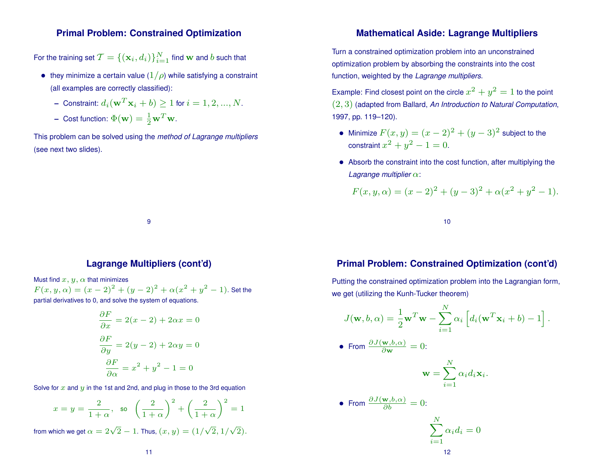#### **Primal Problem: Constrained Optimization**

For the training set  $\mathcal{T} = \{(\mathbf{x}_i, d_i)\}_{i=1}^N$  find  $\mathbf{w}$  and  $b$  such that

- they minimize a certain value  $(1/\rho)$  while satisfying a constraint (all examples are correctly classified):
	- $\textsf{I}-\textsf{Constant:}\ d_i(\textbf{w}^T{\textbf{x}}_i+b)\geq 1$  for  $i=1,2,...,N.$
	- **–** Cost function:  $\Phi(\mathbf{w}) = \frac{1}{2} \mathbf{w}^T \mathbf{w}$ .

This problem can be solved using the *method of Lagrange multipliers* (see next two slides).

## **Mathematical Aside: Lagrange Multipliers**

Turn a constrained optimization problem into an unconstrained optimization problem by absorbing the constraints into the cost function, weighted by the *Lagrange multipliers*.

Example: Find closest point on the circle  $x^2 + y^2 = 1$  to the point (2, 3) (adapted from Ballard, *An Introduction to Natural Computation*, 1997, pp. 119–120).

- Minimize  $F(x,y) = (x-2)^2 + (y-3)^2$  subject to the constraint  $x^2+y^2-1=0$ .
- Absorb the constraint into the cost function, after multiplying the *Lagrange multiplier* α:

$$
F(x, y, \alpha) = (x - 2)^{2} + (y - 3)^{2} + \alpha(x^{2} + y^{2} - 1).
$$

10

#### **Lagrange Multipliers (cont'd)**

9

Must find  $x, y, \alpha$  that minimizes  $F(x, y, \alpha) = (x - 2)^2 + (y - 2)^2 + \alpha(x^2 + y^2 - 1)$ . Set the partial derivatives to 0, and solve the system of equations.

$$
\frac{\partial F}{\partial x} = 2(x - 2) + 2\alpha x = 0
$$

$$
\frac{\partial F}{\partial y} = 2(y - 2) + 2\alpha y = 0
$$

$$
\frac{\partial F}{\partial \alpha} = x^2 + y^2 - 1 = 0
$$

Solve for  $x$  and  $y$  in the 1st and 2nd, and plug in those to the 3rd equation

$$
x = y = \frac{2}{1+\alpha}, \text{ so } \left(\frac{2}{1+\alpha}\right)^2 + \left(\frac{2}{1+\alpha}\right)^2 = 1
$$
  
from which we get  $\alpha = 2\sqrt{2} - 1$ . Thus,  $(x, y) = (1/\sqrt{2}, 1/\sqrt{2})$ .

## **Primal Problem: Constrained Optimization (cont'd)**

Putting the constrained optimization problem into the Lagrangian form, we get (utilizing the Kunh-Tucker theorem)

$$
J(\mathbf{w}, b, \alpha) = \frac{1}{2} \mathbf{w}^T \mathbf{w} - \sum_{i=1}^N \alpha_i \left[ d_i (\mathbf{w}^T \mathbf{x}_i + b) - 1 \right].
$$
  
• From  $\frac{\partial J(\mathbf{w}, b, \alpha)}{\partial \mathbf{w}} = 0$ :

$$
\mathbf{w} = \sum_{i=1}^N \alpha_i d_i \mathbf{x}_i.
$$

• From 
$$
\frac{\partial J(\mathbf{w},b,\alpha)}{\partial b} = 0
$$
:

$$
\sum_{i=1}^{N} \alpha_i d_i = 0
$$
12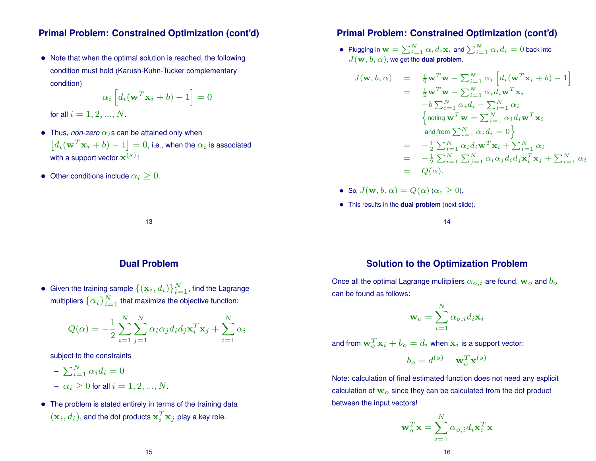### **Primal Problem: Constrained Optimization (cont'd)**

• Note that when the optimal solution is reached, the following condition must hold (Karush-Kuhn-Tucker complementary condition)

$$
\alpha_i \left[ d_i(\mathbf{w}^T \mathbf{x}_i + b) - 1 \right] = 0
$$

for all  $i = 1, 2, ..., N$ .

- Thus, *non-zero*  $\alpha_i$ s can be attained only when  $\left[ d_i({\bf w}^T{\bf x}_i+b)-1\right]=0$ , i.e., when the  $\alpha_i$  is associated with a support vector  $\mathbf{x}^{(s)}$ !
- Other conditions include  $\alpha_i > 0$ .

### **Primal Problem: Constrained Optimization (cont'd)**

 $\bullet \;\;$  Plugging in  $\mathbf{w} = \sum_{i=1}^N \alpha_i d_i \mathbf{x}_i$  and  $\sum_{i=1}^N \alpha_i d_i = 0$  back into  $J(\mathbf{w}, b, \alpha)$ , we get the **dual problem**.

$$
\begin{array}{rcl}\n, b, \alpha) & = & \frac{1}{2} \mathbf{w}^T \mathbf{w} - \sum_{i=1}^N \alpha_i \left[ d_i (\mathbf{w}^T \mathbf{x}_i + b) - 1 \right] \\
& = & \frac{1}{2} \mathbf{w}^T \mathbf{w} - \sum_{i=1}^N \alpha_i d_i \mathbf{w}^T \mathbf{x}_i \\
& -b \sum_{i=1}^N \alpha_i d_i + \sum_{i=1}^N \alpha_i \\
& \left\{ \text{noting } \mathbf{w}^T \mathbf{w} = \sum_{i=1}^N \alpha_i d_i \mathbf{w}^T \mathbf{x}_i \right. \\
& \text{and from } \sum_{i=1}^N \alpha_i d_i = 0 \right\} \\
& = & -\frac{1}{2} \sum_{i=1}^N \alpha_i d_i \mathbf{w}^T \mathbf{x}_i + \sum_{i=1}^N \alpha_i \\
& = & -\frac{1}{2} \sum_{i=1}^N \sum_{j=1}^N \alpha_i \alpha_j d_i d_j \mathbf{x}_i^T \mathbf{x}_j + \sum_{i=1}^N \alpha_i \\
& = & Q(\alpha).\n\end{array}
$$

• So,  $J(\mathbf{w}, b, \alpha) = Q(\alpha) (\alpha_i \geq 0)$ .

 $J({\bf w}$ 

• This results in the **dual problem** (next slide).

14

### **Dual Problem**

13

 $\bullet~$  Given the training sample  $\{(\mathbf{x}_i, d_i)\}_{i=1}^N$ , find the Lagrange multipliers  $\{\alpha_i\}_{i=1}^N$  that maximize the objective function:

$$
Q(\alpha) = -\frac{1}{2} \sum_{i=1}^{N} \sum_{j=1}^{N} \alpha_i \alpha_j d_i d_j \mathbf{x}_i^T \mathbf{x}_j + \sum_{i=1}^{N} \alpha_i
$$

subject to the constraints

$$
- \sum_{i=1}^{N} \alpha_i d_i = 0
$$

- $-\alpha_i > 0$  for all  $i = 1, 2, ..., N$ .
- The problem is stated entirely in terms of the training data  $(\mathbf{x}_i, d_i)$ , and the dot products  $\mathbf{x}_i^T$  $\frac{T}{i} \mathbf{x}_j$  play a key role.

### **Solution to the Optimization Problem**

Once all the optimal Lagrange mulitpliers  $\alpha_{o,i}$  are found,  $\mathbf{w}_o$  and  $b_o$ can be found as follows:

$$
\mathbf{w}_o = \sum_{i=1}^N \alpha_{o,i} d_i \mathbf{x}_i
$$

and from  $\mathbf{w}_o^T\mathbf{x}_i + b_o = d_i$  when  $\mathbf{x}_i$  is a support vector:

$$
b_o = d^{(s)} - \mathbf{w}_o^T \mathbf{x}^{(s)}
$$

Note: calculation of final estimated function does not need any explicit calculation of  $w<sub>o</sub>$  since they can be calculated from the dot product between the input vectors!

N

$$
\mathbf{w}_o^T \mathbf{x} = \sum_{i=1}^N \alpha_{o,i} d_i \mathbf{x}_i^T \mathbf{x}
$$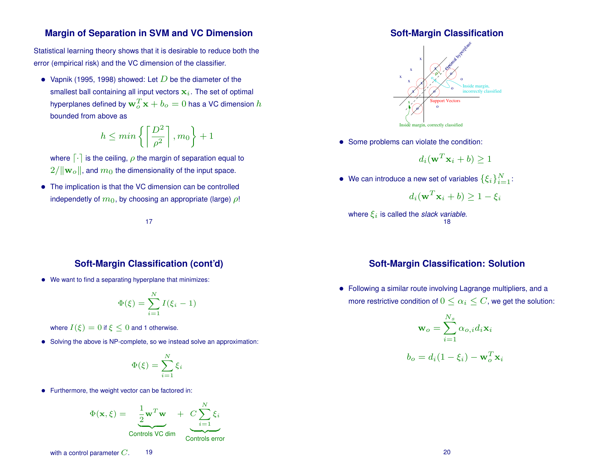#### **Margin of Separation in SVM and VC Dimension**

Statistical learning theory shows that it is desirable to reduce both the error (empirical risk) and the VC dimension of the classifier.

• Vapnik (1995, 1998) showed: Let  $D$  be the diameter of the smallest ball containing all input vectors  $x_i$ . The set of optimal hyperplanes defined by  $\mathbf{w}_o^T\mathbf{x}+b_o=0$  has a VC dimension  $h$ bounded from above as

$$
h \le \min\left\{ \left\lceil \frac{D^2}{\rho^2} \right\rceil, m_0 \right\} + 1
$$

where  $\lceil \cdot \rceil$  is the ceiling,  $\rho$  the margin of separation equal to  $2/\|\mathbf{w}_o\|$ , and  $m_0$  the dimensionality of the input space.

• The implication is that the VC dimension can be controlled independetly of  $m_0$ , by choosing an appropriate (large)  $\rho$ !

#### 17

#### **Soft-Margin Classification (cont'd)**

• We want to find a separating hyperplane that minimizes:

$$
\Phi(\xi) = \sum_{i=1}^{N} I(\xi_i - 1)
$$

where  $I(\xi) = 0$  if  $\xi \leq 0$  and 1 otherwise.

• Solving the above is NP-complete, so we instead solve an approximation:

$$
\Phi(\xi)=\sum_{i=1}^N \xi_i
$$

• Furthermore, the weight vector can be factored in:

$$
\Phi(\mathbf{x}, \xi) = \underbrace{\frac{1}{2} \mathbf{w}^T \mathbf{w}}_{\text{Controls VC dim}} + \underbrace{C \sum_{i=1}^N \xi_i}_{\text{Controls error}}
$$

#### **Soft-Margin Classification**



• Some problems can violate the condition:

$$
d_i(\mathbf{w}^T \mathbf{x}_i + b) \ge 1
$$

• We can introduce a new set of variables  $\{\xi_i\}_{i=1}^N$ :

$$
d_i(\mathbf{w}^T \mathbf{x}_i + b) \ge 1 - \xi_i
$$

where  $\xi_i$  is called the *slack variable*. 18

### **Soft-Margin Classification: Solution**

• Following a similar route involving Lagrange multipliers, and a more restrictive condition of  $0 \leq \alpha_i \leq C$ , we get the solution:

$$
\mathbf{w}_o = \sum_{i=1}^{N_s} \alpha_{o,i} d_i \mathbf{x}_i
$$

$$
b_o = d_i (1 - \xi_i) - \mathbf{w}_o^T \mathbf{x}_i
$$

with a control parameter  $C.$  19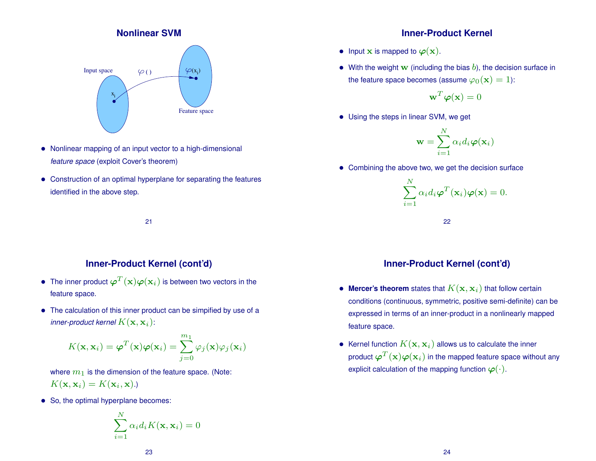### **Nonlinear SVM**



- Nonlinear mapping of an input vector to a high-dimensional *feature space* (exploit Cover's theorem)
- Construction of an optimal hyperplane for separating the features identified in the above step.

21

## **Inner-Product Kernel (cont'd)**

- $\bullet~$  The inner product  $\boldsymbol{\varphi}^T(\mathbf{x})\boldsymbol{\varphi}(\mathbf{x}_i)$  is between two vectors in the feature space.
- The calculation of this inner product can be simpified by use of a inner-product kernel  $K(\mathbf{x},\mathbf{x}_i)$ :

$$
K(\mathbf{x}, \mathbf{x}_i) = \boldsymbol{\varphi}^T(\mathbf{x}) \boldsymbol{\varphi}(\mathbf{x}_i) = \sum_{j=0}^{m_1} \varphi_j(\mathbf{x}) \varphi_j(\mathbf{x}_i)
$$

where  $m_1$  is the dimension of the feature space. (Note:  $K(\mathbf{x}, \mathbf{x}_i) = K(\mathbf{x}_i, \mathbf{x}).$ 

• So, the optimal hyperplane becomes:

$$
\sum_{i=1}^{N} \alpha_i d_i K(\mathbf{x}, \mathbf{x}_i) = 0
$$

### **Inner-Product Kernel**

- Input  $x$  is mapped to  $\varphi(x)$ .
- With the weight w (including the bias  $b$ ), the decision surface in the feature space becomes (assume  $\varphi_0(\mathbf{x}) = 1$ ):

$$
\mathbf{w}^T\boldsymbol{\varphi}(\mathbf{x})=0
$$

• Using the steps in linear SVM, we get

$$
\mathbf{w} = \sum_{i=1}^{N} \alpha_i d_i \boldsymbol{\varphi}(\mathbf{x}_i)
$$

• Combining the above two, we get the decision surface

$$
\sum_{i=1}^{N} \alpha_i d_i \boldsymbol{\varphi}^T(\mathbf{x}_i) \boldsymbol{\varphi}(\mathbf{x}) = 0.
$$

22

## **Inner-Product Kernel (cont'd)**

- $\bullet$  Mercer's theorem states that  $K(\mathbf{x},\mathbf{x}_i)$  that follow certain conditions (continuous, symmetric, positive semi-definite) can be expressed in terms of an inner-product in a nonlinearly mapped feature space.
- $\bullet~$  Kernel function  $K(\mathbf{x},\mathbf{x}_i)$  allows us to calculate the inner product  $\boldsymbol{\varphi}^T(\mathbf{x})\boldsymbol{\varphi}(\mathbf{x}_i)$  in the mapped feature space without any explicit calculation of the mapping function  $\varphi(\cdot)$ .